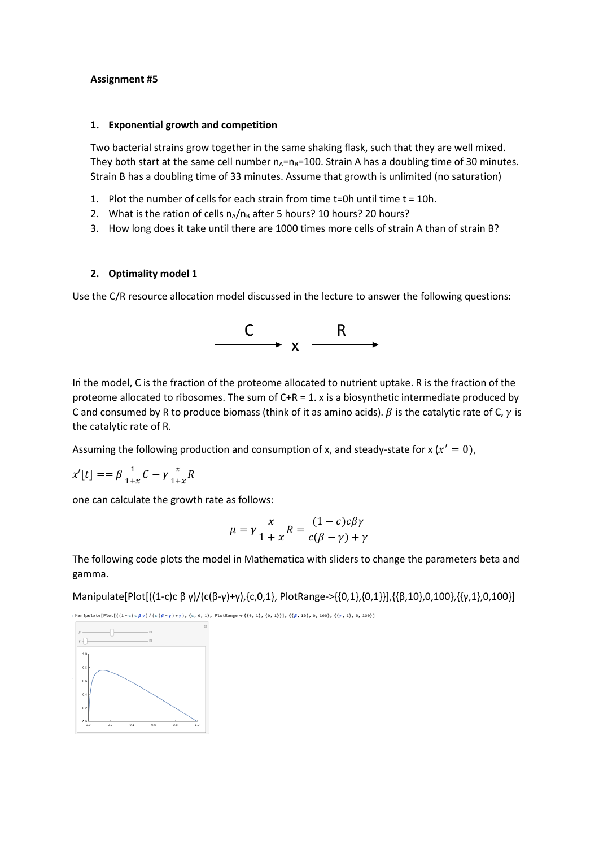## **Assignment #5**

## **1. Exponential growth and competition**

Two bacterial strains grow together in the same shaking flask, such that they are well mixed. They both start at the same cell number  $n_A=n_B=100$ . Strain A has a doubling time of 30 minutes. Strain B has a doubling time of 33 minutes. Assume that growth is unlimited (no saturation)

- 1. Plot the number of cells for each strain from time t=0h until time t = 10h.
- 2. What is the ration of cells  $n_A/n_B$  after 5 hours? 10 hours? 20 hours?
- 3. How long does it take until there are 1000 times more cells of strain A than of strain B?

## **2. Optimality model 1**

Use the C/R resource allocation model discussed in the lecture to answer the following questions:



In the model, C is the fraction of the proteome allocated to nutrient uptake. R is the fraction of the proteome allocated to ribosomes. The sum of C+R = 1. x is a biosynthetic intermediate produced by C and consumed by R to produce biomass (think of it as amino acids).  $\beta$  is the catalytic rate of C,  $\gamma$  is the catalytic rate of R.

Assuming the following production and consumption of x, and steady-state for x ( $x' = 0$ ),

$$
x'[t] == \beta \frac{1}{1+x} C - \gamma \frac{x}{1+x} R
$$

one can calculate the growth rate as follows:

$$
\mu = \gamma \frac{x}{1+x} R = \frac{(1-c)c\beta\gamma}{c(\beta - \gamma) + \gamma}
$$

The following code plots the model in Mathematica with sliders to change the parameters beta and gamma.

Manipulate[Plot[((1-c)c β γ)/(c(β-γ)+γ),{c,0,1}, PlotRange->{{0,1},{0,1}}],{{β,10},0,100},{{γ,1},0,100}]

 $\texttt{Manipulate[Plot[((1-c) c \beta \gamma) / (c (\beta - \gamma) + \gamma), (c, 0, 1), PlotRange \to \{ (0, 1), (0, 1) \}], \{ (\beta, 10), 0, 100 \}, \{ (\gamma, 1), 0, 100 \}] }$